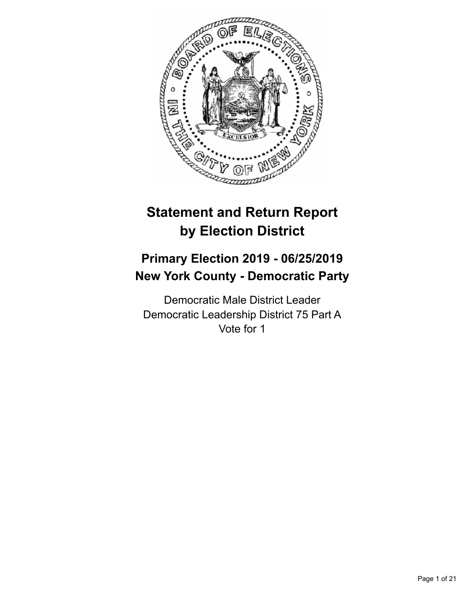

# **Statement and Return Report by Election District**

## **Primary Election 2019 - 06/25/2019 New York County - Democratic Party**

Democratic Male District Leader Democratic Leadership District 75 Part A Vote for 1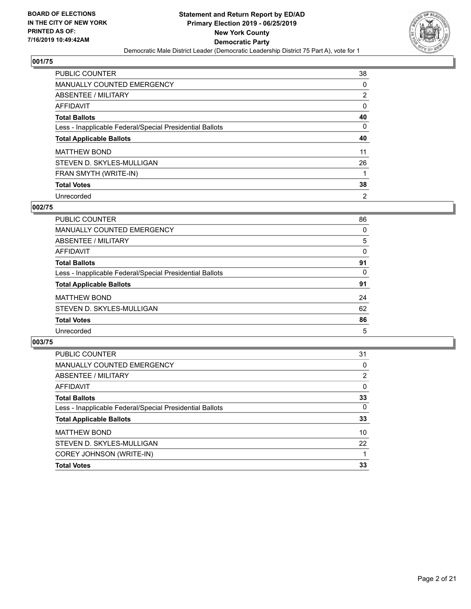

| <b>PUBLIC COUNTER</b>                                    | 38             |
|----------------------------------------------------------|----------------|
| <b>MANUALLY COUNTED EMERGENCY</b>                        | 0              |
| ABSENTEE / MILITARY                                      | $\overline{2}$ |
| AFFIDAVIT                                                | $\Omega$       |
| <b>Total Ballots</b>                                     | 40             |
| Less - Inapplicable Federal/Special Presidential Ballots | 0              |
| <b>Total Applicable Ballots</b>                          | 40             |
|                                                          |                |
| <b>MATTHEW BOND</b>                                      | 11             |
| STEVEN D. SKYLES-MULLIGAN                                | 26             |
| FRAN SMYTH (WRITE-IN)                                    |                |
| <b>Total Votes</b>                                       | 38             |

## **002/75**

| <b>PUBLIC COUNTER</b>                                    | 86       |
|----------------------------------------------------------|----------|
| <b>MANUALLY COUNTED EMERGENCY</b>                        | 0        |
| ABSENTEE / MILITARY                                      | 5        |
| AFFIDAVIT                                                | 0        |
| <b>Total Ballots</b>                                     | 91       |
| Less - Inapplicable Federal/Special Presidential Ballots | $\Omega$ |
| <b>Total Applicable Ballots</b>                          | 91       |
| <b>MATTHEW BOND</b>                                      | 24       |
| STEVEN D. SKYLES-MULLIGAN                                | 62       |
| <b>Total Votes</b>                                       | 86       |
| Unrecorded                                               | 5        |

| <b>PUBLIC COUNTER</b>                                    | 31       |
|----------------------------------------------------------|----------|
| <b>MANUALLY COUNTED EMERGENCY</b>                        | $\Omega$ |
| ABSENTEE / MILITARY                                      | 2        |
| AFFIDAVIT                                                | 0        |
| <b>Total Ballots</b>                                     | 33       |
| Less - Inapplicable Federal/Special Presidential Ballots | 0        |
| <b>Total Applicable Ballots</b>                          | 33       |
| <b>MATTHEW BOND</b>                                      | 10       |
| STEVEN D. SKYLES-MULLIGAN                                | 22       |
| COREY JOHNSON (WRITE-IN)                                 |          |
| <b>Total Votes</b>                                       | 33       |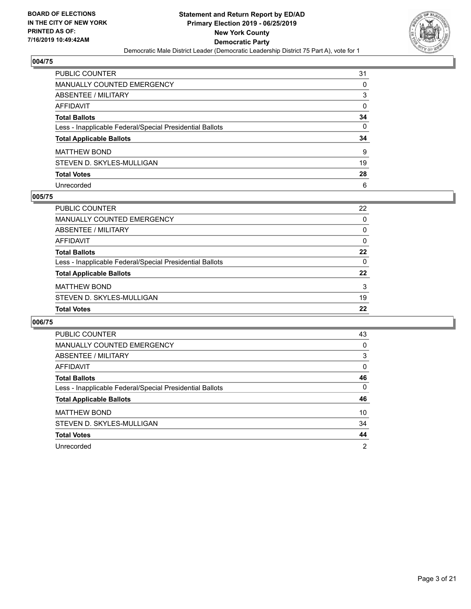

| PUBLIC COUNTER                                           | 31 |
|----------------------------------------------------------|----|
| <b>MANUALLY COUNTED EMERGENCY</b>                        | 0  |
| <b>ABSENTEE / MILITARY</b>                               | 3  |
| <b>AFFIDAVIT</b>                                         | 0  |
| <b>Total Ballots</b>                                     | 34 |
| Less - Inapplicable Federal/Special Presidential Ballots | 0  |
| <b>Total Applicable Ballots</b>                          | 34 |
| <b>MATTHEW BOND</b>                                      | 9  |
| STEVEN D. SKYLES-MULLIGAN                                | 19 |
| <b>Total Votes</b>                                       | 28 |
| Unrecorded                                               | 6  |

## **005/75**

| PUBLIC COUNTER                                           | 22       |
|----------------------------------------------------------|----------|
| MANUALLY COUNTED EMERGENCY                               | 0        |
| ABSENTEE / MILITARY                                      | $\Omega$ |
| AFFIDAVIT                                                | 0        |
| <b>Total Ballots</b>                                     | 22       |
| Less - Inapplicable Federal/Special Presidential Ballots | $\Omega$ |
| <b>Total Applicable Ballots</b>                          | 22       |
| <b>MATTHEW BOND</b>                                      | 3        |
| STEVEN D. SKYLES-MULLIGAN                                | 19       |
| <b>Total Votes</b>                                       | 22       |
|                                                          |          |

| <b>PUBLIC COUNTER</b>                                    | 43       |
|----------------------------------------------------------|----------|
| <b>MANUALLY COUNTED EMERGENCY</b>                        | 0        |
| ABSENTEE / MILITARY                                      | 3        |
| AFFIDAVIT                                                | $\Omega$ |
| <b>Total Ballots</b>                                     | 46       |
| Less - Inapplicable Federal/Special Presidential Ballots | $\Omega$ |
| <b>Total Applicable Ballots</b>                          | 46       |
| <b>MATTHEW BOND</b>                                      | 10       |
| STEVEN D. SKYLES-MULLIGAN                                | 34       |
| <b>Total Votes</b>                                       | 44       |
| Unrecorded                                               | 2        |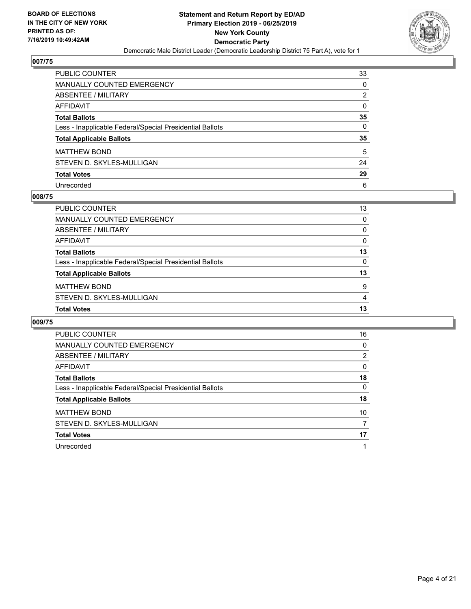

| PUBLIC COUNTER                                           | 33       |
|----------------------------------------------------------|----------|
| <b>MANUALLY COUNTED EMERGENCY</b>                        | 0        |
| <b>ABSENTEE / MILITARY</b>                               | 2        |
| <b>AFFIDAVIT</b>                                         | 0        |
| <b>Total Ballots</b>                                     | 35       |
| Less - Inapplicable Federal/Special Presidential Ballots | $\Omega$ |
| <b>Total Applicable Ballots</b>                          | 35       |
| <b>MATTHEW BOND</b>                                      | 5        |
| STEVEN D. SKYLES-MULLIGAN                                | 24       |
| <b>Total Votes</b>                                       | 29       |
| Unrecorded                                               | 6        |

## **008/75**

| <b>PUBLIC COUNTER</b>                                    | 13       |
|----------------------------------------------------------|----------|
| MANUALLY COUNTED EMERGENCY                               | 0        |
| ABSENTEE / MILITARY                                      | $\Omega$ |
| AFFIDAVIT                                                | $\Omega$ |
| <b>Total Ballots</b>                                     | 13       |
| Less - Inapplicable Federal/Special Presidential Ballots | 0        |
| <b>Total Applicable Ballots</b>                          | 13       |
| <b>MATTHEW BOND</b>                                      | 9        |
| STEVEN D. SKYLES-MULLIGAN                                | 4        |
| <b>Total Votes</b>                                       | 13       |
|                                                          |          |

| <b>PUBLIC COUNTER</b>                                    | 16 |
|----------------------------------------------------------|----|
| <b>MANUALLY COUNTED EMERGENCY</b>                        | 0  |
| ABSENTEE / MILITARY                                      | 2  |
| <b>AFFIDAVIT</b>                                         | 0  |
| <b>Total Ballots</b>                                     | 18 |
| Less - Inapplicable Federal/Special Presidential Ballots | 0  |
| <b>Total Applicable Ballots</b>                          | 18 |
| <b>MATTHEW BOND</b>                                      | 10 |
| STEVEN D. SKYLES-MULLIGAN                                | 7  |
| <b>Total Votes</b>                                       | 17 |
| Unrecorded                                               |    |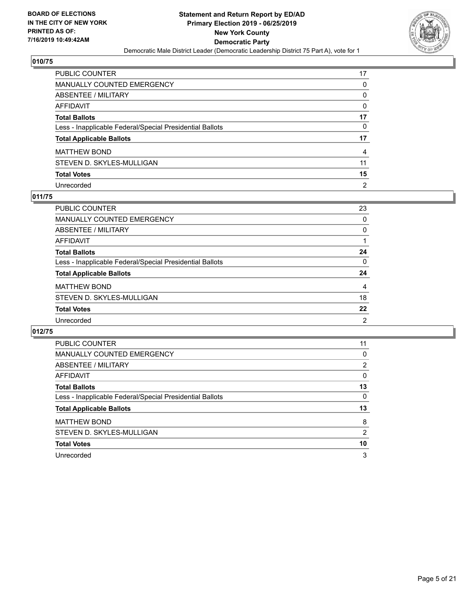

| PUBLIC COUNTER                                           | 17             |
|----------------------------------------------------------|----------------|
| <b>MANUALLY COUNTED EMERGENCY</b>                        | 0              |
| <b>ABSENTEE / MILITARY</b>                               | 0              |
| <b>AFFIDAVIT</b>                                         | 0              |
| <b>Total Ballots</b>                                     | 17             |
| Less - Inapplicable Federal/Special Presidential Ballots | 0              |
| <b>Total Applicable Ballots</b>                          | 17             |
| <b>MATTHEW BOND</b>                                      | 4              |
| STEVEN D. SKYLES-MULLIGAN                                | 11             |
| <b>Total Votes</b>                                       | 15             |
| Unrecorded                                               | $\overline{2}$ |

## **011/75**

| <b>PUBLIC COUNTER</b>                                    | 23             |
|----------------------------------------------------------|----------------|
| <b>MANUALLY COUNTED EMERGENCY</b>                        | $\Omega$       |
| ABSENTEE / MILITARY                                      | 0              |
| AFFIDAVIT                                                |                |
| <b>Total Ballots</b>                                     | 24             |
| Less - Inapplicable Federal/Special Presidential Ballots | $\Omega$       |
| <b>Total Applicable Ballots</b>                          | 24             |
| <b>MATTHEW BOND</b>                                      | 4              |
| STEVEN D. SKYLES-MULLIGAN                                | 18             |
| <b>Total Votes</b>                                       | 22             |
| Unrecorded                                               | $\overline{2}$ |

| <b>PUBLIC COUNTER</b>                                    | 11       |
|----------------------------------------------------------|----------|
| <b>MANUALLY COUNTED EMERGENCY</b>                        | 0        |
| ABSENTEE / MILITARY                                      | 2        |
| AFFIDAVIT                                                | $\Omega$ |
| <b>Total Ballots</b>                                     | 13       |
| Less - Inapplicable Federal/Special Presidential Ballots | 0        |
| <b>Total Applicable Ballots</b>                          | 13       |
| <b>MATTHEW BOND</b>                                      | 8        |
| STEVEN D. SKYLES-MULLIGAN                                | 2        |
| <b>Total Votes</b>                                       | 10       |
| Unrecorded                                               | 3        |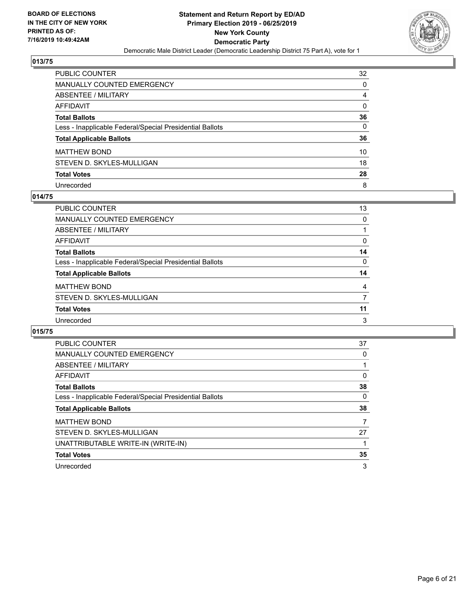

| PUBLIC COUNTER                                           | 32       |
|----------------------------------------------------------|----------|
| <b>MANUALLY COUNTED EMERGENCY</b>                        | 0        |
| <b>ABSENTEE / MILITARY</b>                               | 4        |
| <b>AFFIDAVIT</b>                                         | $\Omega$ |
| <b>Total Ballots</b>                                     | 36       |
| Less - Inapplicable Federal/Special Presidential Ballots | $\Omega$ |
| <b>Total Applicable Ballots</b>                          | 36       |
| <b>MATTHEW BOND</b>                                      | 10       |
| STEVEN D. SKYLES-MULLIGAN                                | 18       |
| <b>Total Votes</b>                                       | 28       |
| Unrecorded                                               | 8        |

## **014/75**

| <b>PUBLIC COUNTER</b>                                    | 13       |
|----------------------------------------------------------|----------|
| <b>MANUALLY COUNTED EMERGENCY</b>                        | 0        |
| ABSENTEE / MILITARY                                      |          |
| AFFIDAVIT                                                | $\Omega$ |
| <b>Total Ballots</b>                                     | 14       |
| Less - Inapplicable Federal/Special Presidential Ballots | $\Omega$ |
| <b>Total Applicable Ballots</b>                          | 14       |
| <b>MATTHEW BOND</b>                                      | 4        |
| STEVEN D. SKYLES-MULLIGAN                                | 7        |
| <b>Total Votes</b>                                       | 11       |
| Unrecorded                                               | 3        |

| <b>PUBLIC COUNTER</b>                                    | 37 |
|----------------------------------------------------------|----|
| <b>MANUALLY COUNTED EMERGENCY</b>                        | 0  |
| ABSENTEE / MILITARY                                      |    |
| AFFIDAVIT                                                | 0  |
| <b>Total Ballots</b>                                     | 38 |
| Less - Inapplicable Federal/Special Presidential Ballots | 0  |
| <b>Total Applicable Ballots</b>                          | 38 |
|                                                          |    |
| <b>MATTHEW BOND</b>                                      |    |
| STEVEN D. SKYLES-MULLIGAN                                | 27 |
| UNATTRIBUTABLE WRITE-IN (WRITE-IN)                       |    |
| <b>Total Votes</b>                                       | 35 |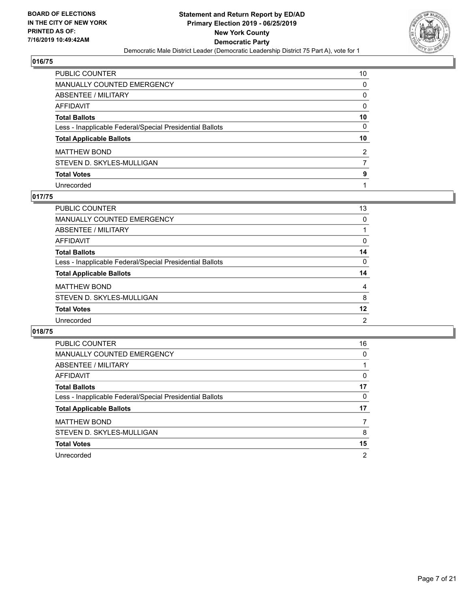

| PUBLIC COUNTER                                           | 10             |
|----------------------------------------------------------|----------------|
| <b>MANUALLY COUNTED EMERGENCY</b>                        | 0              |
| ABSENTEE / MILITARY                                      | 0              |
| AFFIDAVIT                                                | 0              |
| <b>Total Ballots</b>                                     | 10             |
| Less - Inapplicable Federal/Special Presidential Ballots | $\Omega$       |
| <b>Total Applicable Ballots</b>                          | 10             |
| <b>MATTHEW BOND</b>                                      | $\overline{2}$ |
| STEVEN D. SKYLES-MULLIGAN                                |                |
| <b>Total Votes</b>                                       | 9              |
| Unrecorded                                               |                |

## **017/75**

| PUBLIC COUNTER                                           | 13             |
|----------------------------------------------------------|----------------|
| <b>MANUALLY COUNTED EMERGENCY</b>                        | 0              |
| ABSENTEE / MILITARY                                      |                |
| AFFIDAVIT                                                | $\Omega$       |
| <b>Total Ballots</b>                                     | 14             |
| Less - Inapplicable Federal/Special Presidential Ballots | $\Omega$       |
| <b>Total Applicable Ballots</b>                          | 14             |
| <b>MATTHEW BOND</b>                                      | 4              |
| STEVEN D. SKYLES-MULLIGAN                                | 8              |
| <b>Total Votes</b>                                       | 12             |
| Unrecorded                                               | $\overline{2}$ |

| <b>PUBLIC COUNTER</b>                                    | 16 |
|----------------------------------------------------------|----|
| <b>MANUALLY COUNTED EMERGENCY</b>                        | 0  |
| ABSENTEE / MILITARY                                      |    |
| AFFIDAVIT                                                | 0  |
| <b>Total Ballots</b>                                     | 17 |
| Less - Inapplicable Federal/Special Presidential Ballots | 0  |
| <b>Total Applicable Ballots</b>                          | 17 |
| <b>MATTHEW BOND</b>                                      |    |
| STEVEN D. SKYLES-MULLIGAN                                | 8  |
| <b>Total Votes</b>                                       | 15 |
| Unrecorded                                               | 2  |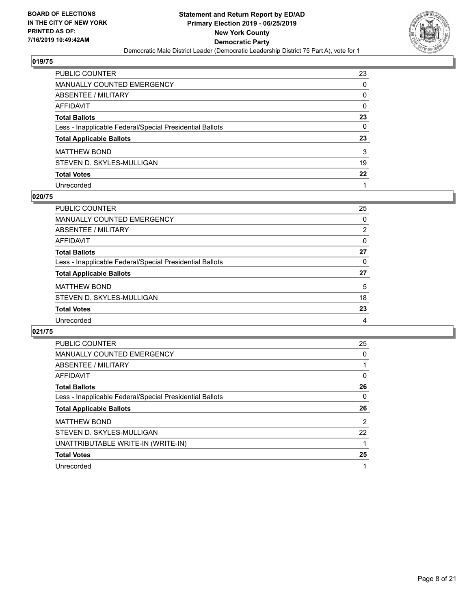

| PUBLIC COUNTER                                           | 23       |
|----------------------------------------------------------|----------|
| <b>MANUALLY COUNTED EMERGENCY</b>                        | $\Omega$ |
| <b>ABSENTEE / MILITARY</b>                               | 0        |
| <b>AFFIDAVIT</b>                                         | 0        |
| <b>Total Ballots</b>                                     | 23       |
| Less - Inapplicable Federal/Special Presidential Ballots | $\Omega$ |
| <b>Total Applicable Ballots</b>                          | 23       |
| <b>MATTHEW BOND</b>                                      | 3        |
| STEVEN D. SKYLES-MULLIGAN                                | 19       |
| <b>Total Votes</b>                                       | 22       |
| Unrecorded                                               |          |

## **020/75**

| <b>PUBLIC COUNTER</b>                                    | 25             |
|----------------------------------------------------------|----------------|
| <b>MANUALLY COUNTED EMERGENCY</b>                        | 0              |
| ABSENTEE / MILITARY                                      | $\overline{2}$ |
| AFFIDAVIT                                                | $\Omega$       |
| <b>Total Ballots</b>                                     | 27             |
| Less - Inapplicable Federal/Special Presidential Ballots | 0              |
| <b>Total Applicable Ballots</b>                          | 27             |
| <b>MATTHEW BOND</b>                                      | 5              |
| STEVEN D. SKYLES-MULLIGAN                                | 18             |
| <b>Total Votes</b>                                       | 23             |
| Unrecorded                                               | 4              |

| <b>PUBLIC COUNTER</b>                                    | 25 |
|----------------------------------------------------------|----|
| <b>MANUALLY COUNTED EMERGENCY</b>                        | 0  |
| ABSENTEE / MILITARY                                      |    |
| AFFIDAVIT                                                | 0  |
| <b>Total Ballots</b>                                     | 26 |
| Less - Inapplicable Federal/Special Presidential Ballots | 0  |
|                                                          |    |
| <b>Total Applicable Ballots</b>                          | 26 |
| <b>MATTHEW BOND</b>                                      | 2  |
| STEVEN D. SKYLES-MULLIGAN                                | 22 |
| UNATTRIBUTABLE WRITE-IN (WRITE-IN)                       |    |
| <b>Total Votes</b>                                       | 25 |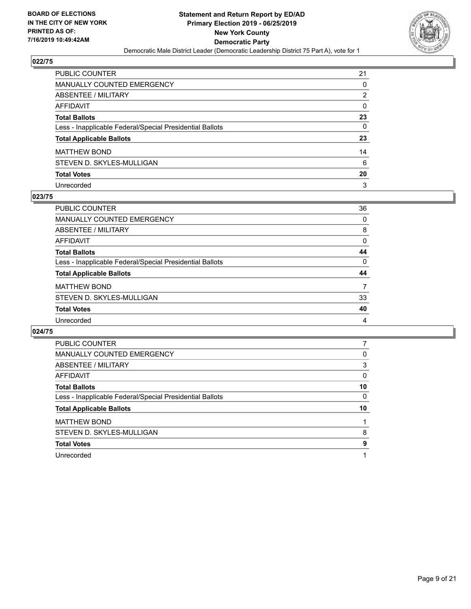

| PUBLIC COUNTER                                           | 21       |
|----------------------------------------------------------|----------|
| <b>MANUALLY COUNTED EMERGENCY</b>                        | 0        |
| <b>ABSENTEE / MILITARY</b>                               | 2        |
| <b>AFFIDAVIT</b>                                         | 0        |
| <b>Total Ballots</b>                                     | 23       |
| Less - Inapplicable Federal/Special Presidential Ballots | $\Omega$ |
| <b>Total Applicable Ballots</b>                          | 23       |
| <b>MATTHEW BOND</b>                                      | 14       |
| STEVEN D. SKYLES-MULLIGAN                                | 6        |
| <b>Total Votes</b>                                       | 20       |
| Unrecorded                                               | 3        |

## **023/75**

| <b>PUBLIC COUNTER</b>                                    | 36       |
|----------------------------------------------------------|----------|
| <b>MANUALLY COUNTED EMERGENCY</b>                        | 0        |
| ABSENTEE / MILITARY                                      | 8        |
| AFFIDAVIT                                                | $\Omega$ |
| <b>Total Ballots</b>                                     | 44       |
| Less - Inapplicable Federal/Special Presidential Ballots | 0        |
| <b>Total Applicable Ballots</b>                          | 44       |
| <b>MATTHEW BOND</b>                                      | 7        |
| STEVEN D. SKYLES-MULLIGAN                                | 33       |
| <b>Total Votes</b>                                       | 40       |
| Unrecorded                                               | 4        |

| <b>PUBLIC COUNTER</b>                                    |          |
|----------------------------------------------------------|----------|
| <b>MANUALLY COUNTED EMERGENCY</b>                        | 0        |
| ABSENTEE / MILITARY                                      | 3        |
| AFFIDAVIT                                                | $\Omega$ |
| <b>Total Ballots</b>                                     | 10       |
| Less - Inapplicable Federal/Special Presidential Ballots | 0        |
| <b>Total Applicable Ballots</b>                          | 10       |
|                                                          |          |
| <b>MATTHEW BOND</b>                                      |          |
| STEVEN D. SKYLES-MULLIGAN                                | 8        |
| <b>Total Votes</b>                                       | 9        |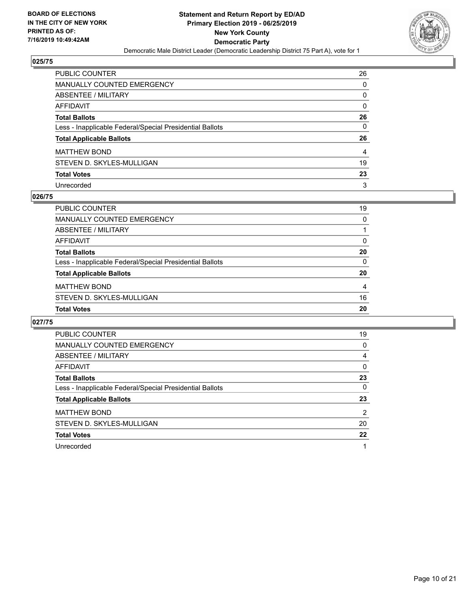

| PUBLIC COUNTER                                           | 26       |
|----------------------------------------------------------|----------|
| <b>MANUALLY COUNTED EMERGENCY</b>                        | 0        |
| <b>ABSENTEE / MILITARY</b>                               | 0        |
| AFFIDAVIT                                                | $\Omega$ |
| <b>Total Ballots</b>                                     | 26       |
| Less - Inapplicable Federal/Special Presidential Ballots | 0        |
| <b>Total Applicable Ballots</b>                          | 26       |
| <b>MATTHEW BOND</b>                                      | 4        |
| STEVEN D. SKYLES-MULLIGAN                                | 19       |
| <b>Total Votes</b>                                       | 23       |
| Unrecorded                                               | 3        |

## **026/75**

| PUBLIC COUNTER                                           | 19       |
|----------------------------------------------------------|----------|
| MANUALLY COUNTED EMERGENCY                               | $\Omega$ |
| ABSENTEE / MILITARY                                      |          |
| AFFIDAVIT                                                | 0        |
| <b>Total Ballots</b>                                     | 20       |
| Less - Inapplicable Federal/Special Presidential Ballots | $\Omega$ |
| <b>Total Applicable Ballots</b>                          | 20       |
| <b>MATTHEW BOND</b>                                      | 4        |
| STEVEN D. SKYLES-MULLIGAN                                | 16       |
| <b>Total Votes</b>                                       | 20       |
|                                                          |          |

| <b>PUBLIC COUNTER</b>                                    | 19 |
|----------------------------------------------------------|----|
| <b>MANUALLY COUNTED EMERGENCY</b>                        | 0  |
| ABSENTEE / MILITARY                                      | 4  |
| AFFIDAVIT                                                | 0  |
| <b>Total Ballots</b>                                     | 23 |
| Less - Inapplicable Federal/Special Presidential Ballots | 0  |
| <b>Total Applicable Ballots</b>                          | 23 |
| <b>MATTHEW BOND</b>                                      | 2  |
| STEVEN D. SKYLES-MULLIGAN                                | 20 |
| <b>Total Votes</b>                                       | 22 |
| Unrecorded                                               |    |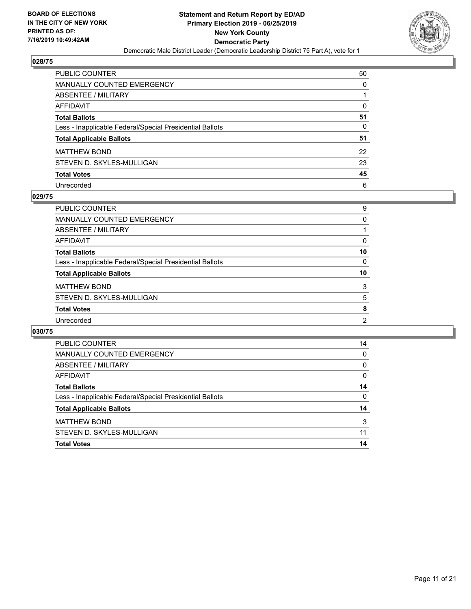

| PUBLIC COUNTER                                           | 50 |
|----------------------------------------------------------|----|
| <b>MANUALLY COUNTED EMERGENCY</b>                        | 0  |
| ABSENTEE / MILITARY                                      |    |
| <b>AFFIDAVIT</b>                                         | 0  |
| <b>Total Ballots</b>                                     | 51 |
| Less - Inapplicable Federal/Special Presidential Ballots | 0  |
| <b>Total Applicable Ballots</b>                          | 51 |
| <b>MATTHEW BOND</b>                                      | 22 |
| STEVEN D. SKYLES-MULLIGAN                                | 23 |
| <b>Total Votes</b>                                       | 45 |
| Unrecorded                                               | 6  |

## **029/75**

| <b>PUBLIC COUNTER</b>                                    | 9              |
|----------------------------------------------------------|----------------|
| <b>MANUALLY COUNTED EMERGENCY</b>                        | 0              |
| ABSENTEE / MILITARY                                      |                |
| AFFIDAVIT                                                | 0              |
| <b>Total Ballots</b>                                     | 10             |
| Less - Inapplicable Federal/Special Presidential Ballots | $\Omega$       |
| <b>Total Applicable Ballots</b>                          | 10             |
| <b>MATTHEW BOND</b>                                      | 3              |
| STEVEN D. SKYLES-MULLIGAN                                | 5              |
| <b>Total Votes</b>                                       | 8              |
| Unrecorded                                               | $\overline{2}$ |

| <b>Total Votes</b>                                       | 14       |
|----------------------------------------------------------|----------|
| STEVEN D. SKYLES-MULLIGAN                                | 11       |
| <b>MATTHEW BOND</b>                                      | 3        |
| <b>Total Applicable Ballots</b>                          | 14       |
| Less - Inapplicable Federal/Special Presidential Ballots | $\Omega$ |
| <b>Total Ballots</b>                                     | 14       |
| AFFIDAVIT                                                | $\Omega$ |
| ABSENTEE / MILITARY                                      | $\Omega$ |
| <b>MANUALLY COUNTED EMERGENCY</b>                        | 0        |
| <b>PUBLIC COUNTER</b>                                    | 14       |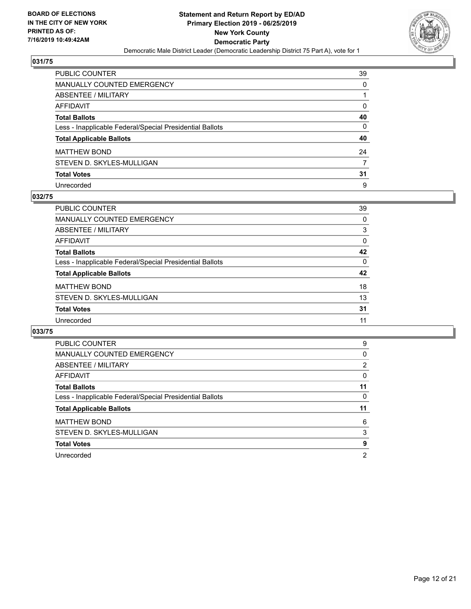

| PUBLIC COUNTER                                           | 39       |
|----------------------------------------------------------|----------|
| <b>MANUALLY COUNTED EMERGENCY</b>                        | 0        |
| <b>ABSENTEE / MILITARY</b>                               |          |
| <b>AFFIDAVIT</b>                                         | 0        |
| <b>Total Ballots</b>                                     | 40       |
| Less - Inapplicable Federal/Special Presidential Ballots | $\Omega$ |
| <b>Total Applicable Ballots</b>                          | 40       |
| <b>MATTHEW BOND</b>                                      | 24       |
| STEVEN D. SKYLES-MULLIGAN                                | 7        |
| <b>Total Votes</b>                                       | 31       |
| Unrecorded                                               | 9        |

## **032/75**

| PUBLIC COUNTER                                           | 39       |
|----------------------------------------------------------|----------|
| <b>MANUALLY COUNTED EMERGENCY</b>                        | 0        |
| ABSENTEE / MILITARY                                      | 3        |
| AFFIDAVIT                                                | 0        |
| <b>Total Ballots</b>                                     | 42       |
| Less - Inapplicable Federal/Special Presidential Ballots | $\Omega$ |
| <b>Total Applicable Ballots</b>                          | 42       |
| <b>MATTHEW BOND</b>                                      | 18       |
| STEVEN D. SKYLES-MULLIGAN                                | 13       |
| <b>Total Votes</b>                                       | 31       |
| Unrecorded                                               | 11       |

| <b>PUBLIC COUNTER</b>                                    | 9              |
|----------------------------------------------------------|----------------|
| <b>MANUALLY COUNTED EMERGENCY</b>                        | 0              |
| ABSENTEE / MILITARY                                      | $\overline{2}$ |
| AFFIDAVIT                                                | 0              |
| <b>Total Ballots</b>                                     | 11             |
| Less - Inapplicable Federal/Special Presidential Ballots | 0              |
|                                                          |                |
| <b>Total Applicable Ballots</b>                          | 11             |
| <b>MATTHEW BOND</b>                                      | 6              |
| STEVEN D. SKYLES-MULLIGAN                                | 3              |
| <b>Total Votes</b>                                       | 9              |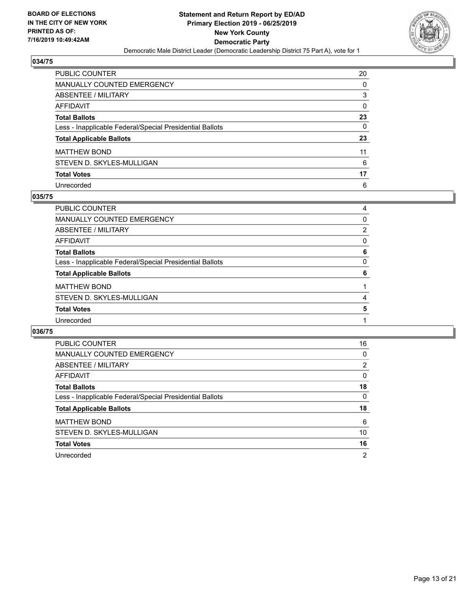

| PUBLIC COUNTER                                           | 20 |
|----------------------------------------------------------|----|
| <b>MANUALLY COUNTED EMERGENCY</b>                        | 0  |
| <b>ABSENTEE / MILITARY</b>                               | 3  |
| <b>AFFIDAVIT</b>                                         | 0  |
| <b>Total Ballots</b>                                     | 23 |
| Less - Inapplicable Federal/Special Presidential Ballots | 0  |
| <b>Total Applicable Ballots</b>                          | 23 |
| <b>MATTHEW BOND</b>                                      | 11 |
| STEVEN D. SKYLES-MULLIGAN                                | 6  |
| <b>Total Votes</b>                                       | 17 |
| Unrecorded                                               | 6  |

## **035/75**

| 4              |
|----------------|
| $\Omega$       |
| $\overline{2}$ |
| $\Omega$       |
| 6              |
| 0              |
| 6              |
|                |
| 4              |
| 5              |
|                |
|                |

| <b>PUBLIC COUNTER</b>                                    | 16             |
|----------------------------------------------------------|----------------|
| <b>MANUALLY COUNTED EMERGENCY</b>                        | 0              |
| ABSENTEE / MILITARY                                      | 2              |
| AFFIDAVIT                                                | $\Omega$       |
| <b>Total Ballots</b>                                     | 18             |
| Less - Inapplicable Federal/Special Presidential Ballots | $\Omega$       |
| <b>Total Applicable Ballots</b>                          | 18             |
| <b>MATTHEW BOND</b>                                      | 6              |
| STEVEN D. SKYLES-MULLIGAN                                | 10             |
| <b>Total Votes</b>                                       | 16             |
| Unrecorded                                               | $\overline{2}$ |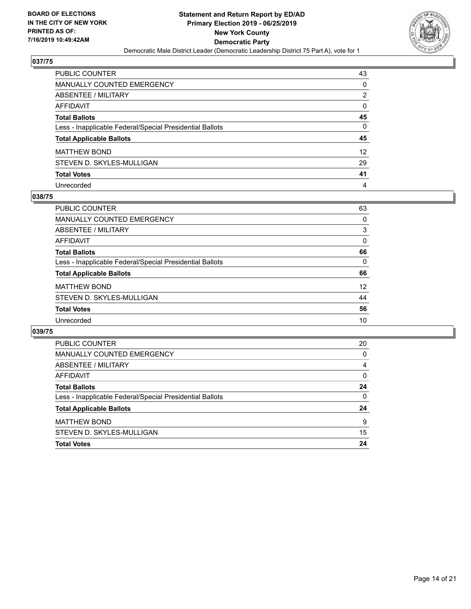

| PUBLIC COUNTER                                           | 43       |
|----------------------------------------------------------|----------|
| <b>MANUALLY COUNTED EMERGENCY</b>                        | 0        |
| <b>ABSENTEE / MILITARY</b>                               | 2        |
| <b>AFFIDAVIT</b>                                         | $\Omega$ |
| <b>Total Ballots</b>                                     | 45       |
| Less - Inapplicable Federal/Special Presidential Ballots | $\Omega$ |
| <b>Total Applicable Ballots</b>                          | 45       |
| <b>MATTHEW BOND</b>                                      | 12       |
| STEVEN D. SKYLES-MULLIGAN                                | 29       |
| <b>Total Votes</b>                                       | 41       |
| Unrecorded                                               | 4        |

## **038/75**

| <b>PUBLIC COUNTER</b>                                    | 63       |
|----------------------------------------------------------|----------|
| <b>MANUALLY COUNTED EMERGENCY</b>                        | 0        |
| ABSENTEE / MILITARY                                      | 3        |
| AFFIDAVIT                                                | $\Omega$ |
| <b>Total Ballots</b>                                     | 66       |
| Less - Inapplicable Federal/Special Presidential Ballots | 0        |
| <b>Total Applicable Ballots</b>                          | 66       |
| <b>MATTHEW BOND</b>                                      | 12       |
| STEVEN D. SKYLES-MULLIGAN                                | 44       |
| <b>Total Votes</b>                                       | 56       |
| Unrecorded                                               | 10       |

| <b>PUBLIC COUNTER</b>                                    | 20       |
|----------------------------------------------------------|----------|
| <b>MANUALLY COUNTED EMERGENCY</b>                        | 0        |
| ABSENTEE / MILITARY                                      | 4        |
| AFFIDAVIT                                                | $\Omega$ |
| <b>Total Ballots</b>                                     | 24       |
| Less - Inapplicable Federal/Special Presidential Ballots | 0        |
| <b>Total Applicable Ballots</b>                          | 24       |
| <b>MATTHEW BOND</b>                                      | 9        |
| STEVEN D. SKYLES-MULLIGAN                                | 15       |
| <b>Total Votes</b>                                       | 24       |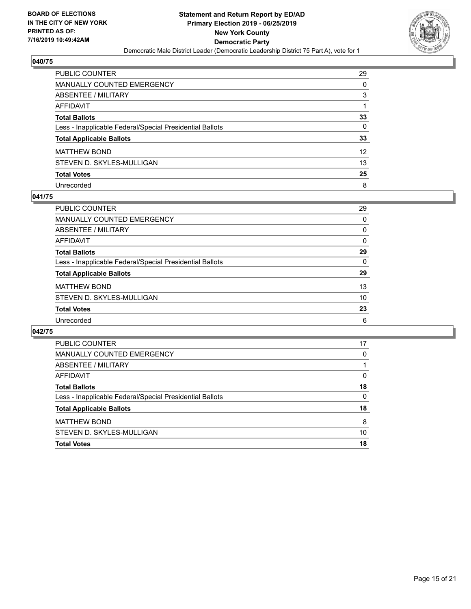

| <b>PUBLIC COUNTER</b>                                    | 29 |
|----------------------------------------------------------|----|
| <b>MANUALLY COUNTED EMERGENCY</b>                        | 0  |
| ABSENTEE / MILITARY                                      | 3  |
| <b>AFFIDAVIT</b>                                         |    |
| <b>Total Ballots</b>                                     | 33 |
| Less - Inapplicable Federal/Special Presidential Ballots | 0  |
| <b>Total Applicable Ballots</b>                          | 33 |
| <b>MATTHEW BOND</b>                                      | 12 |
| STEVEN D. SKYLES-MULLIGAN                                | 13 |
| <b>Total Votes</b>                                       | 25 |
| Unrecorded                                               | 8  |

## **041/75**

| PUBLIC COUNTER                                           | 29       |
|----------------------------------------------------------|----------|
| <b>MANUALLY COUNTED EMERGENCY</b>                        | 0        |
| ABSENTEE / MILITARY                                      | 0        |
| AFFIDAVIT                                                | $\Omega$ |
| <b>Total Ballots</b>                                     | 29       |
| Less - Inapplicable Federal/Special Presidential Ballots | $\Omega$ |
| <b>Total Applicable Ballots</b>                          | 29       |
| <b>MATTHEW BOND</b>                                      | 13       |
| STEVEN D. SKYLES-MULLIGAN                                | 10       |
| <b>Total Votes</b>                                       | 23       |
| Unrecorded                                               | 6        |

| <b>PUBLIC COUNTER</b>                                    | 17       |
|----------------------------------------------------------|----------|
| MANUALLY COUNTED EMERGENCY                               | 0        |
| ABSENTEE / MILITARY                                      |          |
| AFFIDAVIT                                                | 0        |
| <b>Total Ballots</b>                                     | 18       |
| Less - Inapplicable Federal/Special Presidential Ballots | $\Omega$ |
| <b>Total Applicable Ballots</b>                          | 18       |
| <b>MATTHEW BOND</b>                                      | 8        |
| STEVEN D. SKYLES-MULLIGAN                                | 10       |
| <b>Total Votes</b>                                       | 18       |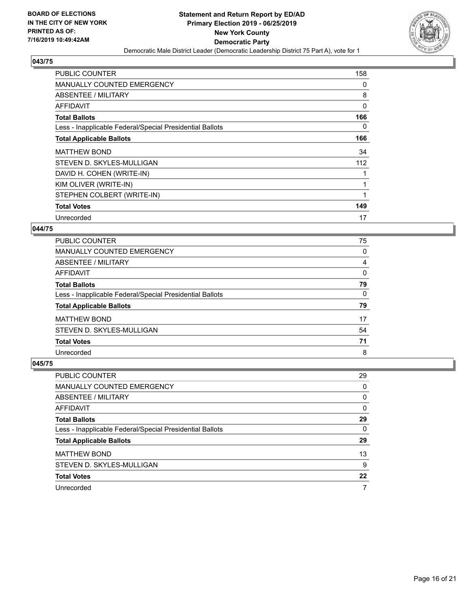

| PUBLIC COUNTER                                           | 158      |
|----------------------------------------------------------|----------|
| <b>MANUALLY COUNTED EMERGENCY</b>                        | 0        |
| ABSENTEE / MILITARY                                      | 8        |
| AFFIDAVIT                                                | $\Omega$ |
| <b>Total Ballots</b>                                     | 166      |
| Less - Inapplicable Federal/Special Presidential Ballots | $\Omega$ |
| <b>Total Applicable Ballots</b>                          | 166      |
| <b>MATTHEW BOND</b>                                      | 34       |
| STEVEN D. SKYLES-MULLIGAN                                | 112      |
| DAVID H. COHEN (WRITE-IN)                                | 1        |
| KIM OLIVER (WRITE-IN)                                    | 1        |
| STEPHEN COLBERT (WRITE-IN)                               | 1        |
| <b>Total Votes</b>                                       | 149      |
|                                                          | 17       |

## **044/75**

| <b>PUBLIC COUNTER</b>                                    | 75       |
|----------------------------------------------------------|----------|
| MANUALLY COUNTED EMERGENCY                               | 0        |
| ABSENTEE / MILITARY                                      | 4        |
| AFFIDAVIT                                                | $\Omega$ |
| <b>Total Ballots</b>                                     | 79       |
| Less - Inapplicable Federal/Special Presidential Ballots | $\Omega$ |
| <b>Total Applicable Ballots</b>                          | 79       |
| <b>MATTHEW BOND</b>                                      | 17       |
| STEVEN D. SKYLES-MULLIGAN                                | 54       |
| <b>Total Votes</b>                                       | 71       |
| Unrecorded                                               | 8        |

| PUBLIC COUNTER                                           | 29       |
|----------------------------------------------------------|----------|
| <b>MANUALLY COUNTED EMERGENCY</b>                        | 0        |
| ABSENTEE / MILITARY                                      | 0        |
| AFFIDAVIT                                                | $\Omega$ |
| <b>Total Ballots</b>                                     | 29       |
| Less - Inapplicable Federal/Special Presidential Ballots | $\Omega$ |
| <b>Total Applicable Ballots</b>                          | 29       |
| <b>MATTHEW BOND</b>                                      | 13       |
| STEVEN D. SKYLES-MULLIGAN                                | 9        |
| <b>Total Votes</b>                                       | 22       |
| Unrecorded                                               |          |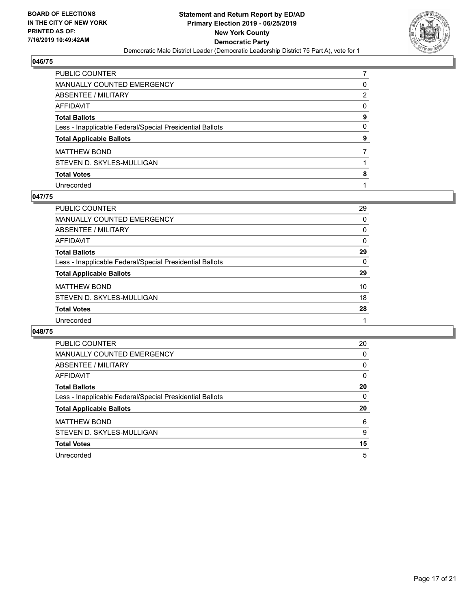

| PUBLIC COUNTER                                           |          |
|----------------------------------------------------------|----------|
| <b>MANUALLY COUNTED EMERGENCY</b>                        | 0        |
| ABSENTEE / MILITARY                                      | 2        |
| AFFIDAVIT                                                | $\Omega$ |
| <b>Total Ballots</b>                                     | 9        |
| Less - Inapplicable Federal/Special Presidential Ballots | $\Omega$ |
| <b>Total Applicable Ballots</b>                          | 9        |
| <b>MATTHEW BOND</b>                                      |          |
| STEVEN D. SKYLES-MULLIGAN                                |          |
| <b>Total Votes</b>                                       | 8        |
| Unrecorded                                               |          |

## **047/75**

| <b>PUBLIC COUNTER</b>                                    | 29       |
|----------------------------------------------------------|----------|
| <b>MANUALLY COUNTED EMERGENCY</b>                        | 0        |
| ABSENTEE / MILITARY                                      | 0        |
| AFFIDAVIT                                                | $\Omega$ |
| <b>Total Ballots</b>                                     | 29       |
| Less - Inapplicable Federal/Special Presidential Ballots | 0        |
| <b>Total Applicable Ballots</b>                          | 29       |
| <b>MATTHEW BOND</b>                                      | 10       |
| STEVEN D. SKYLES-MULLIGAN                                | 18       |
| <b>Total Votes</b>                                       | 28       |
| Unrecorded                                               |          |

| <b>PUBLIC COUNTER</b>                                    | 20       |
|----------------------------------------------------------|----------|
| <b>MANUALLY COUNTED EMERGENCY</b>                        | 0        |
| ABSENTEE / MILITARY                                      | $\Omega$ |
| <b>AFFIDAVIT</b>                                         | 0        |
| <b>Total Ballots</b>                                     | 20       |
| Less - Inapplicable Federal/Special Presidential Ballots | 0        |
| <b>Total Applicable Ballots</b>                          | 20       |
|                                                          |          |
| <b>MATTHEW BOND</b>                                      | 6        |
| STEVEN D. SKYLES-MULLIGAN                                | 9        |
| <b>Total Votes</b>                                       | 15       |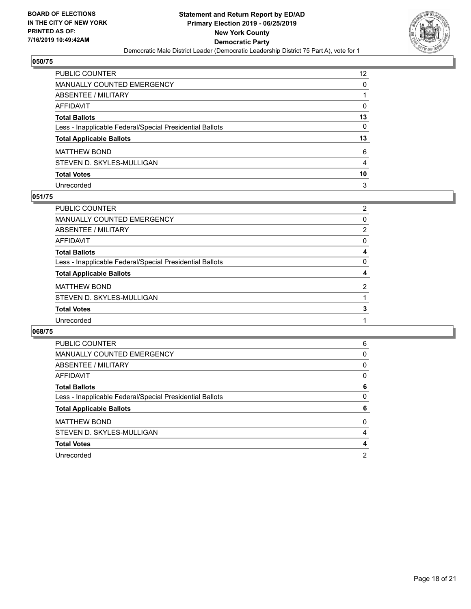

| PUBLIC COUNTER                                           | 12 |
|----------------------------------------------------------|----|
| <b>MANUALLY COUNTED EMERGENCY</b>                        | 0  |
| <b>ABSENTEE / MILITARY</b>                               |    |
| <b>AFFIDAVIT</b>                                         | 0  |
| <b>Total Ballots</b>                                     | 13 |
| Less - Inapplicable Federal/Special Presidential Ballots | 0  |
| <b>Total Applicable Ballots</b>                          | 13 |
| <b>MATTHEW BOND</b>                                      | 6  |
| STEVEN D. SKYLES-MULLIGAN                                | 4  |
| <b>Total Votes</b>                                       | 10 |
| Unrecorded                                               | 3  |

## **051/75**

| <b>PUBLIC COUNTER</b>                                    | $\overline{2}$ |
|----------------------------------------------------------|----------------|
| MANUALLY COUNTED EMERGENCY                               | 0              |
| ABSENTEE / MILITARY                                      | 2              |
| AFFIDAVIT                                                | $\Omega$       |
| <b>Total Ballots</b>                                     | 4              |
| Less - Inapplicable Federal/Special Presidential Ballots | $\Omega$       |
| <b>Total Applicable Ballots</b>                          | 4              |
| <b>MATTHEW BOND</b>                                      | 2              |
| STEVEN D. SKYLES-MULLIGAN                                |                |
| <b>Total Votes</b>                                       | 3              |
| Unrecorded                                               |                |

| <b>PUBLIC COUNTER</b>                                    | 6 |
|----------------------------------------------------------|---|
| MANUALLY COUNTED EMERGENCY                               | 0 |
| ABSENTEE / MILITARY                                      | 0 |
| AFFIDAVIT                                                | 0 |
| <b>Total Ballots</b>                                     | 6 |
| Less - Inapplicable Federal/Special Presidential Ballots | 0 |
| <b>Total Applicable Ballots</b>                          | 6 |
| <b>MATTHEW BOND</b>                                      | 0 |
| STEVEN D. SKYLES-MULLIGAN                                | 4 |
| <b>Total Votes</b>                                       | 4 |
| Unrecorded                                               | 2 |
|                                                          |   |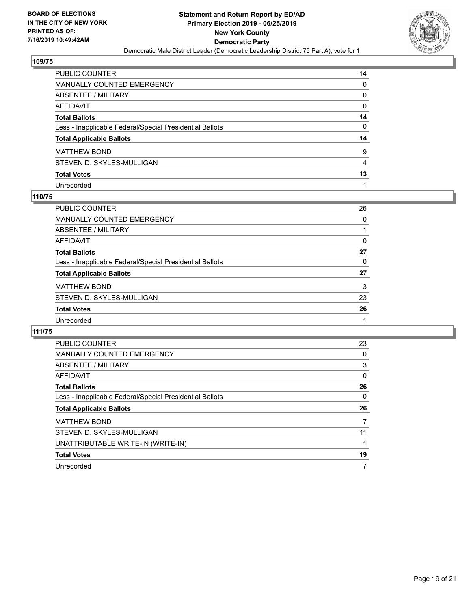

| PUBLIC COUNTER                                           | 14       |
|----------------------------------------------------------|----------|
| <b>MANUALLY COUNTED EMERGENCY</b>                        | 0        |
| <b>ABSENTEE / MILITARY</b>                               | 0        |
| <b>AFFIDAVIT</b>                                         | $\Omega$ |
| <b>Total Ballots</b>                                     | 14       |
| Less - Inapplicable Federal/Special Presidential Ballots | 0        |
| <b>Total Applicable Ballots</b>                          | 14       |
| <b>MATTHEW BOND</b>                                      | 9        |
| STEVEN D. SKYLES-MULLIGAN                                | 4        |
| <b>Total Votes</b>                                       | 13       |
| Unrecorded                                               |          |

## **110/75**

| <b>PUBLIC COUNTER</b>                                    | 26       |
|----------------------------------------------------------|----------|
| <b>MANUALLY COUNTED EMERGENCY</b>                        | $\Omega$ |
| ABSENTEE / MILITARY                                      |          |
| AFFIDAVIT                                                | 0        |
| <b>Total Ballots</b>                                     | 27       |
| Less - Inapplicable Federal/Special Presidential Ballots | 0        |
| <b>Total Applicable Ballots</b>                          | 27       |
| <b>MATTHEW BOND</b>                                      | 3        |
| STEVEN D. SKYLES-MULLIGAN                                | 23       |
| <b>Total Votes</b>                                       | 26       |
| Unrecorded                                               |          |

| <b>PUBLIC COUNTER</b>                                    | 23 |
|----------------------------------------------------------|----|
| <b>MANUALLY COUNTED EMERGENCY</b>                        | 0  |
| ABSENTEE / MILITARY                                      | 3  |
| AFFIDAVIT                                                | 0  |
| <b>Total Ballots</b>                                     | 26 |
| Less - Inapplicable Federal/Special Presidential Ballots | 0  |
| <b>Total Applicable Ballots</b>                          | 26 |
| <b>MATTHEW BOND</b>                                      | 7  |
| STEVEN D. SKYLES-MULLIGAN                                | 11 |
|                                                          |    |
| UNATTRIBUTABLE WRITE-IN (WRITE-IN)                       |    |
| <b>Total Votes</b>                                       | 19 |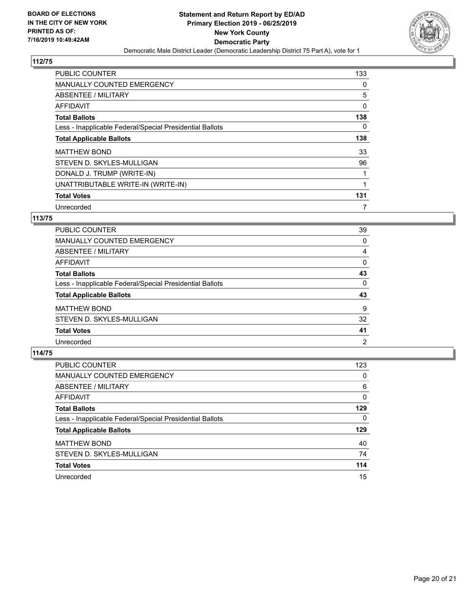

| <b>PUBLIC COUNTER</b>                                    | 133      |
|----------------------------------------------------------|----------|
| MANUALLY COUNTED EMERGENCY                               | 0        |
| ABSENTEE / MILITARY                                      | 5        |
| <b>AFFIDAVIT</b>                                         | 0        |
| <b>Total Ballots</b>                                     | 138      |
| Less - Inapplicable Federal/Special Presidential Ballots | $\Omega$ |
| <b>Total Applicable Ballots</b>                          | 138      |
| <b>MATTHEW BOND</b>                                      | 33       |
| STEVEN D. SKYLES-MULLIGAN                                | 96       |
| DONALD J. TRUMP (WRITE-IN)                               | 1        |
| UNATTRIBUTABLE WRITE-IN (WRITE-IN)                       | 1        |
| <b>Total Votes</b>                                       | 131      |
| Unrecorded                                               |          |

## **113/75**

| <b>PUBLIC COUNTER</b>                                    | 39             |
|----------------------------------------------------------|----------------|
| <b>MANUALLY COUNTED EMERGENCY</b>                        | 0              |
| ABSENTEE / MILITARY                                      | 4              |
| AFFIDAVIT                                                | 0              |
| <b>Total Ballots</b>                                     | 43             |
| Less - Inapplicable Federal/Special Presidential Ballots | 0              |
| <b>Total Applicable Ballots</b>                          | 43             |
| <b>MATTHEW BOND</b>                                      | 9              |
| STEVEN D. SKYLES-MULLIGAN                                | 32             |
| <b>Total Votes</b>                                       | 41             |
| Unrecorded                                               | $\overline{2}$ |

| <b>PUBLIC COUNTER</b>                                    | 123      |
|----------------------------------------------------------|----------|
| <b>MANUALLY COUNTED EMERGENCY</b>                        | 0        |
| ABSENTEE / MILITARY                                      | 6        |
| AFFIDAVIT                                                | $\Omega$ |
| <b>Total Ballots</b>                                     | 129      |
| Less - Inapplicable Federal/Special Presidential Ballots | 0        |
| <b>Total Applicable Ballots</b>                          | 129      |
| <b>MATTHEW BOND</b>                                      | 40       |
| STEVEN D. SKYLES-MULLIGAN                                | 74       |
| <b>Total Votes</b>                                       | 114      |
| Unrecorded                                               | 15       |